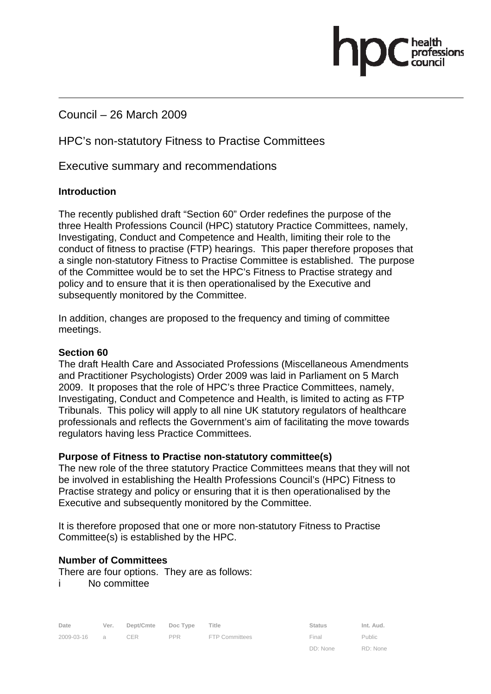Council – 26 March 2009

# HPC's non-statutory Fitness to Practise Committees

Executive summary and recommendations

#### **Introduction**

The recently published draft "Section 60" Order redefines the purpose of the three Health Professions Council (HPC) statutory Practice Committees, namely, Investigating, Conduct and Competence and Health, limiting their role to the conduct of fitness to practise (FTP) hearings. This paper therefore proposes that a single non-statutory Fitness to Practise Committee is established. The purpose of the Committee would be to set the HPC's Fitness to Practise strategy and policy and to ensure that it is then operationalised by the Executive and subsequently monitored by the Committee.

pasions

In addition, changes are proposed to the frequency and timing of committee meetings.

#### **Section 60**

The draft Health Care and Associated Professions (Miscellaneous Amendments and Practitioner Psychologists) Order 2009 was laid in Parliament on 5 March 2009. It proposes that the role of HPC's three Practice Committees, namely, Investigating, Conduct and Competence and Health, is limited to acting as FTP Tribunals. This policy will apply to all nine UK statutory regulators of healthcare professionals and reflects the Government's aim of facilitating the move towards regulators having less Practice Committees.

#### **Purpose of Fitness to Practise non-statutory committee(s)**

The new role of the three statutory Practice Committees means that they will not be involved in establishing the Health Professions Council's (HPC) Fitness to Practise strategy and policy or ensuring that it is then operationalised by the Executive and subsequently monitored by the Committee.

It is therefore proposed that one or more non-statutory Fitness to Practise Committee(s) is established by the HPC.

#### **Number of Committees**

There are four options. They are as follows:

i No committee

| Date         | Ver. | Dept/Cmte Doc Type |     | Title                 | <b>Status</b> | Int. Aud.     |
|--------------|------|--------------------|-----|-----------------------|---------------|---------------|
| 2009-03-16 a |      | CER.               | PPR | <b>FTP Committees</b> | Final         | <b>Public</b> |
|              |      |                    |     |                       | DD: None      | RD: None      |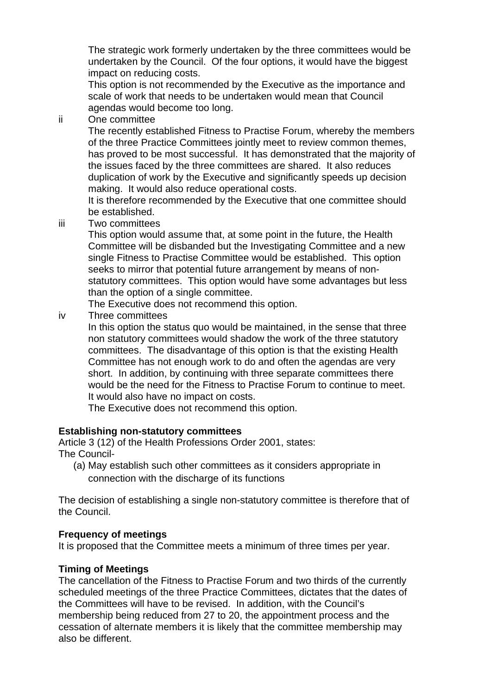The strategic work formerly undertaken by the three committees would be undertaken by the Council. Of the four options, it would have the biggest impact on reducing costs.

This option is not recommended by the Executive as the importance and scale of work that needs to be undertaken would mean that Council agendas would become too long.

ii One committee

The recently established Fitness to Practise Forum, whereby the members of the three Practice Committees jointly meet to review common themes, has proved to be most successful. It has demonstrated that the majority of the issues faced by the three committees are shared. It also reduces duplication of work by the Executive and significantly speeds up decision making. It would also reduce operational costs.

It is therefore recommended by the Executive that one committee should be established.

iii Two committees

This option would assume that, at some point in the future, the Health Committee will be disbanded but the Investigating Committee and a new single Fitness to Practise Committee would be established. This option seeks to mirror that potential future arrangement by means of nonstatutory committees. This option would have some advantages but less than the option of a single committee.

The Executive does not recommend this option.

iv Three committees

In this option the status quo would be maintained, in the sense that three non statutory committees would shadow the work of the three statutory committees. The disadvantage of this option is that the existing Health Committee has not enough work to do and often the agendas are very short. In addition, by continuing with three separate committees there would be the need for the Fitness to Practise Forum to continue to meet. It would also have no impact on costs.

The Executive does not recommend this option.

### **Establishing non-statutory committees**

Article 3 (12) of the Health Professions Order 2001, states: The Council-

(a) May establish such other committees as it considers appropriate in connection with the discharge of its functions

The decision of establishing a single non-statutory committee is therefore that of the Council.

### **Frequency of meetings**

It is proposed that the Committee meets a minimum of three times per year.

### **Timing of Meetings**

The cancellation of the Fitness to Practise Forum and two thirds of the currently scheduled meetings of the three Practice Committees, dictates that the dates of the Committees will have to be revised. In addition, with the Council's membership being reduced from 27 to 20, the appointment process and the cessation of alternate members it is likely that the committee membership may also be different.